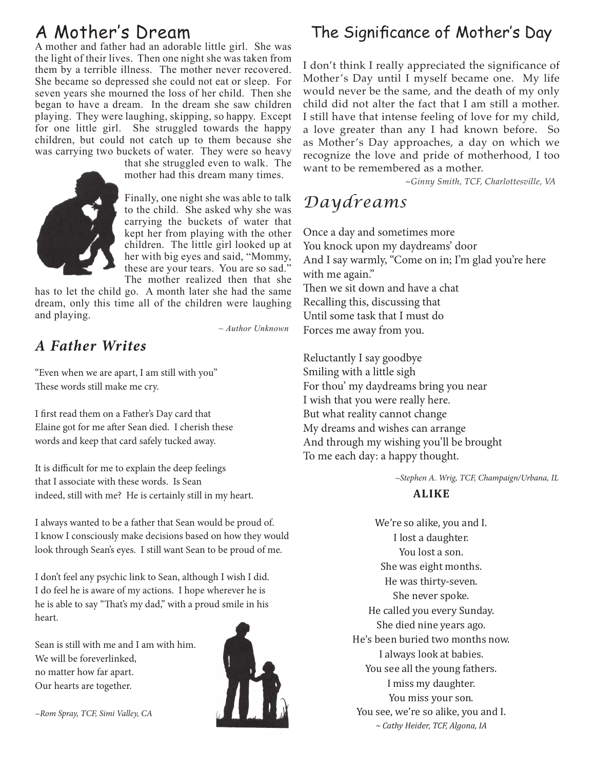# A Mother's Dream

A mother and father had an adorable little girl. She was the light of their lives. Then one night she was taken from them by a terrible illness. The mother never recovered. She became so depressed she could not eat or sleep. For seven years she mourned the loss of her child. Then she began to have a dream. In the dream she saw children playing. They were laughing, skipping, so happy. Except for one little girl. She struggled towards the happy children, but could not catch up to them because she was carrying two buckets of water. They were so heavy



that she struggled even to walk. The mother had this dream many times.

Finally, one night she was able to talk to the child. She asked why she was carrying the buckets of water that kept her from playing with the other children. The little girl looked up at her with big eyes and said, "Mommy, these are your tears. You are so sad." The mother realized then that she

has to let the child go. A month later she had the same dream, only this time all of the children were laughing and playing.

*~ Author Unknown*

### *A Father Writes*

"Even when we are apart, I am still with you" These words still make me cry.

I first read them on a Father's Day card that Elaine got for me after Sean died. I cherish these words and keep that card safely tucked away.

It is difficult for me to explain the deep feelings that I associate with these words. Is Sean indeed, still with me? He is certainly still in my heart.

I always wanted to be a father that Sean would be proud of. I know I consciously make decisions based on how they would look through Sean's eyes. I still want Sean to be proud of me.

I don't feel any psychic link to Sean, although I wish I did. I do feel he is aware of my actions. I hope wherever he is he is able to say "That's my dad," with a proud smile in his heart.

Sean is still with me and I am with him. We will be foreverlinked, no matter how far apart. Our hearts are together.



## The Significance of Mother's Day

I don't think I really appreciated the significance of Mother's Day until I myself became one. My life would never be the same, and the death of my only child did not alter the fact that I am still a mother. I still have that intense feeling of love for my child, a love greater than any I had known before. So as Mother's Day approaches, a day on which we recognize the love and pride of motherhood, I too want to be remembered as a mother.

~*Ginny Smith, TCF, Charlottesville, VA*

## *Daydreams*

Once a day and sometimes more You knock upon my daydreams' door And I say warmly, "Come on in; I'm glad you're here with me again." Then we sit down and have a chat Recalling this, discussing that Until some task that I must do Forces me away from you.

Reluctantly I say goodbye Smiling with a little sigh For thou' my daydreams bring you near I wish that you were really here. But what reality cannot change My dreams and wishes can arrange And through my wishing you'll be brought To me each day: a happy thought.

 *~Stephen A. Wrig, TCF, Champaign/Urbana, IL*

#### **ALIKE**

We're so alike, you and I. I lost a daughter. You lost a son. She was eight months. He was thirty-seven. She never spoke. He called you every Sunday. She died nine years ago. He's been buried two months now. I always look at babies. You see all the young fathers. I miss my daughter. You miss your son. You see, we're so alike, you and I. *~ Cathy Heider, TCF, Algona, IA*

*~Rom Spray, TCF, Simi Valley, CA*